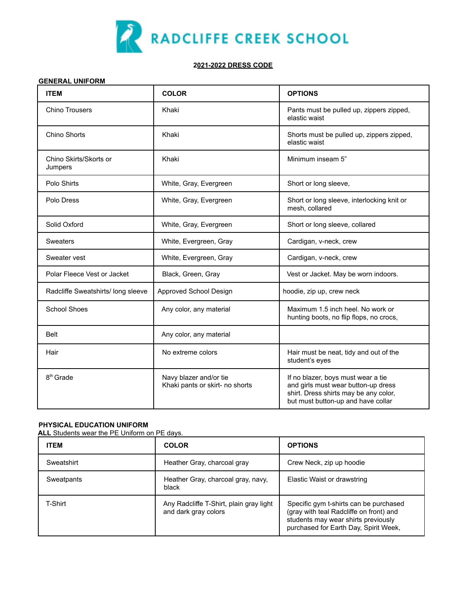

## **2021-2022 DRESS CODE**

## **GENERAL UNIFORM**

| <b>ITEM</b>                        | <b>COLOR</b>                                              | <b>OPTIONS</b>                                                                                                                                           |
|------------------------------------|-----------------------------------------------------------|----------------------------------------------------------------------------------------------------------------------------------------------------------|
| <b>Chino Trousers</b>              | Khaki                                                     | Pants must be pulled up, zippers zipped,<br>elastic waist                                                                                                |
| Chino Shorts                       | Khaki                                                     | Shorts must be pulled up, zippers zipped,<br>elastic waist                                                                                               |
| Chino Skirts/Skorts or<br>Jumpers  | Khaki                                                     | Minimum inseam 5"                                                                                                                                        |
| Polo Shirts                        | White, Gray, Evergreen                                    | Short or long sleeve,                                                                                                                                    |
| Polo Dress                         | White, Gray, Evergreen                                    | Short or long sleeve, interlocking knit or<br>mesh, collared                                                                                             |
| Solid Oxford                       | White, Gray, Evergreen                                    | Short or long sleeve, collared                                                                                                                           |
| Sweaters                           | White, Evergreen, Gray                                    | Cardigan, v-neck, crew                                                                                                                                   |
| Sweater vest                       | White, Evergreen, Gray                                    | Cardigan, v-neck, crew                                                                                                                                   |
| Polar Fleece Vest or Jacket        | Black, Green, Gray                                        | Vest or Jacket. May be worn indoors.                                                                                                                     |
| Radcliffe Sweatshirts/ long sleeve | Approved School Design                                    | hoodie, zip up, crew neck                                                                                                                                |
| <b>School Shoes</b>                | Any color, any material                                   | Maximum 1.5 inch heel. No work or<br>hunting boots, no flip flops, no crocs,                                                                             |
| <b>Belt</b>                        | Any color, any material                                   |                                                                                                                                                          |
| Hair                               | No extreme colors                                         | Hair must be neat, tidy and out of the<br>student's eyes                                                                                                 |
| 8 <sup>th</sup> Grade              | Navy blazer and/or tie<br>Khaki pants or skirt- no shorts | If no blazer, boys must wear a tie<br>and girls must wear button-up dress<br>shirt. Dress shirts may be any color,<br>but must button-up and have collar |

## **PHYSICAL EDUCATION UNIFORM**

**ALL** Students wear the PE Uniform on PE days.

| <b>ITEM</b> | <b>COLOR</b>                                                    | <b>OPTIONS</b>                                                                                                                                                    |
|-------------|-----------------------------------------------------------------|-------------------------------------------------------------------------------------------------------------------------------------------------------------------|
| Sweatshirt  | Heather Gray, charcoal gray                                     | Crew Neck, zip up hoodie                                                                                                                                          |
| Sweatpants  | Heather Gray, charcoal gray, navy,<br>black                     | Elastic Waist or drawstring                                                                                                                                       |
| T-Shirt     | Any Radcliffe T-Shirt, plain gray light<br>and dark gray colors | Specific gym t-shirts can be purchased<br>(gray with teal Radcliffe on front) and<br>students may wear shirts previously<br>purchased for Earth Day, Spirit Week, |